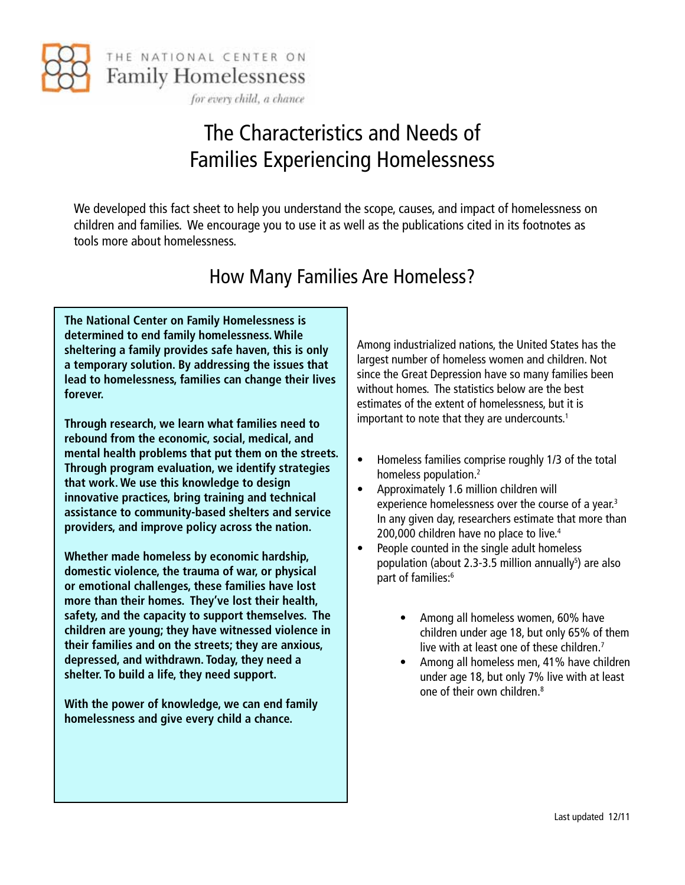

# The Characteristics and Needs of Families Experiencing Homelessness

We developed this fact sheet to help you understand the scope, causes, and impact of homelessness on children and families. We encourage you to use it as well as the publications cited in its footnotes as tools more about homelessness.

## How Many Families Are Homeless?

**The National Center on Family Homelessness is determined to end family homelessness. While sheltering a family provides safe haven, this is only a temporary solution. By addressing the issues that lead to homelessness, families can change their lives forever.** 

**Through research, we learn what families need to rebound from the economic, social, medical, and mental health problems that put them on the streets. Through program evaluation, we identify strategies that work. We use this knowledge to design innovative practices, bring training and technical assistance to community-based shelters and service providers, and improve policy across the nation.**

**Whether made homeless by economic hardship, domestic violence, the trauma of war, or physical or emotional challenges, these families have lost more than their homes. They've lost their health, safety, and the capacity to support themselves. The children are young; they have witnessed violence in their families and on the streets; they are anxious, depressed, and withdrawn. Today, they need a shelter. To build a life, they need support.**

**With the power of knowledge, we can end family homelessness and give every child a chance.**

Among industrialized nations, the United States has the largest number of homeless women and children. Not since the Great Depression have so many families been without homes. The statistics below are the best estimates of the extent of homelessness, but it is important to note that they are undercounts.<sup>1</sup>

- Homeless families comprise roughly 1/3 of the total homeless population.2
- • Approximately 1.6 million children will experience homelessness over the course of a year.<sup>3</sup> In any given day, researchers estimate that more than 200,000 children have no place to live.<sup>4</sup>
- People counted in the single adult homeless population (about 2.3-3.5 million annually<sup>5</sup>) are also part of families:<sup>6</sup>
	- Among all homeless women, 60% have children under age 18, but only 65% of them live with at least one of these children.<sup>7</sup>
	- Among all homeless men, 41% have children under age 18, but only 7% live with at least one of their own children.<sup>8</sup>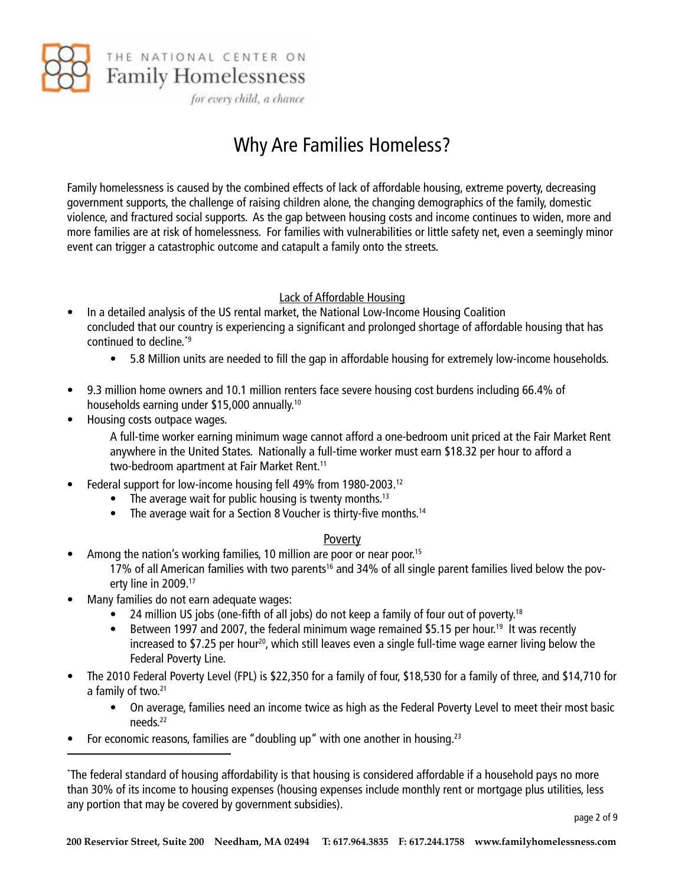

for every child, a chance

## Why Are Families Homeless?

Family homelessness is caused by the combined effects of lack of affordable housing, extreme poverty, decreasing government supports, the challenge of raising children alone, the changing demographics of the family, domestic violence, and fractured social supports. As the gap between housing costs and income continues to widen, more and more families are at risk of homelessness. For families with vulnerabilities or little safety net, even a seemingly minor event can trigger a catastrophic outcome and catapult a family onto the streets.

#### Lack of Affordable Housing

- In a detailed analysis of the US rental market, the National Low-Income Housing Coalition concluded that our country is experiencing a significant and prolonged shortage of affordable housing that has continued to decline.\*9
	- 5.8 Million units are needed to fill the gap in affordable housing for extremely low-income households.
- • 9.3 million home owners and 10.1 million renters face severe housing cost burdens including 66.4% of households earning under \$15,000 annually.10
- Housing costs outpace wages.

A full-time worker earning minimum wage cannot afford a one-bedroom unit priced at the Fair Market Rent anywhere in the United States. Nationally a full-time worker must earn \$18.32 per hour to afford a two-bedroom apartment at Fair Market Rent.<sup>11</sup>

- Federal support for low-income housing fell 49% from 1980-2003.<sup>12</sup>
	- The average wait for public housing is twenty months.<sup>13</sup>
	- The average wait for a Section 8 Voucher is thirty-five months.<sup>14</sup>

#### Poverty

- Among the nation's working families, 10 million are poor or near poor.<sup>15</sup> 17% of all American families with two parents<sup>16</sup> and 34% of all single parent families lived below the poverty line in 2009.17
- Many families do not earn adequate wages:
	- 24 million US jobs (one-fifth of all jobs) do not keep a family of four out of poverty.<sup>18</sup>
	- Between 1997 and 2007, the federal minimum wage remained \$5.15 per hour.<sup>19</sup> It was recently increased to \$7.25 per hour<sup>20</sup>, which still leaves even a single full-time wage earner living below the Federal Poverty Line.
- The 2010 Federal Poverty Level (FPL) is \$22,350 for a family of four, \$18,530 for a family of three, and \$14,710 for a family of two.<sup>21</sup>
	- On average, families need an income twice as high as the Federal Poverty Level to meet their most basic needs.22
- For economic reasons, families are "doubling up" with one another in housing.<sup>23</sup>

<sup>\*</sup> The federal standard of housing affordability is that housing is considered affordable if a household pays no more than 30% of its income to housing expenses (housing expenses include monthly rent or mortgage plus utilities, less any portion that may be covered by government subsidies).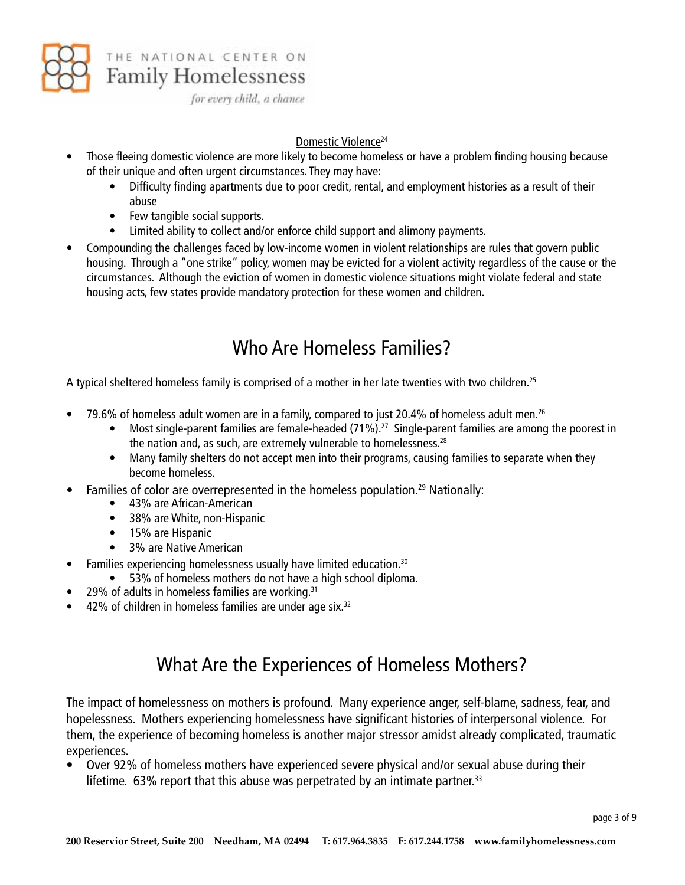

**Family Homelessness** 

for every child, a chance

#### Domestic Violence<sup>24</sup>

- Those fleeing domestic violence are more likely to become homeless or have a problem finding housing because of their unique and often urgent circumstances. They may have:
	- Difficulty finding apartments due to poor credit, rental, and employment histories as a result of their abuse
	- Few tangible social supports.
	- Limited ability to collect and/or enforce child support and alimony payments.
- Compounding the challenges faced by low-income women in violent relationships are rules that govern public housing. Through a "one strike" policy, women may be evicted for a violent activity regardless of the cause or the circumstances. Although the eviction of women in domestic violence situations might violate federal and state housing acts, few states provide mandatory protection for these women and children.

## Who Are Homeless Families?

A typical sheltered homeless family is comprised of a mother in her late twenties with two children.<sup>25</sup>

- 79.6% of homeless adult women are in a family, compared to just 20.4% of homeless adult men.<sup>26</sup>
	- Most single-parent families are female-headed (71%).<sup>27</sup> Single-parent families are among the poorest in the nation and, as such, are extremely vulnerable to homelessness.<sup>28</sup>
	- Many family shelters do not accept men into their programs, causing families to separate when they become homeless.
- Families of color are overrepresented in the homeless population.<sup>29</sup> Nationally:
	- • 43% are African-American
	- 38% are White, non-Hispanic
	- 15% are Hispanic
	- • 3% are Native American
- Families experiencing homelessness usually have limited education.<sup>30</sup>
	- 53% of homeless mothers do not have a high school diploma.
- $29\%$  of adults in homeless families are working.<sup>31</sup>
- $\bullet$  42% of children in homeless families are under age six.<sup>32</sup>

## What Are the Experiences of Homeless Mothers?

The impact of homelessness on mothers is profound. Many experience anger, self-blame, sadness, fear, and hopelessness. Mothers experiencing homelessness have significant histories of interpersonal violence. For them, the experience of becoming homeless is another major stressor amidst already complicated, traumatic experiences.

• Over 92% of homeless mothers have experienced severe physical and/or sexual abuse during their lifetime.  $63\%$  report that this abuse was perpetrated by an intimate partner.<sup>33</sup>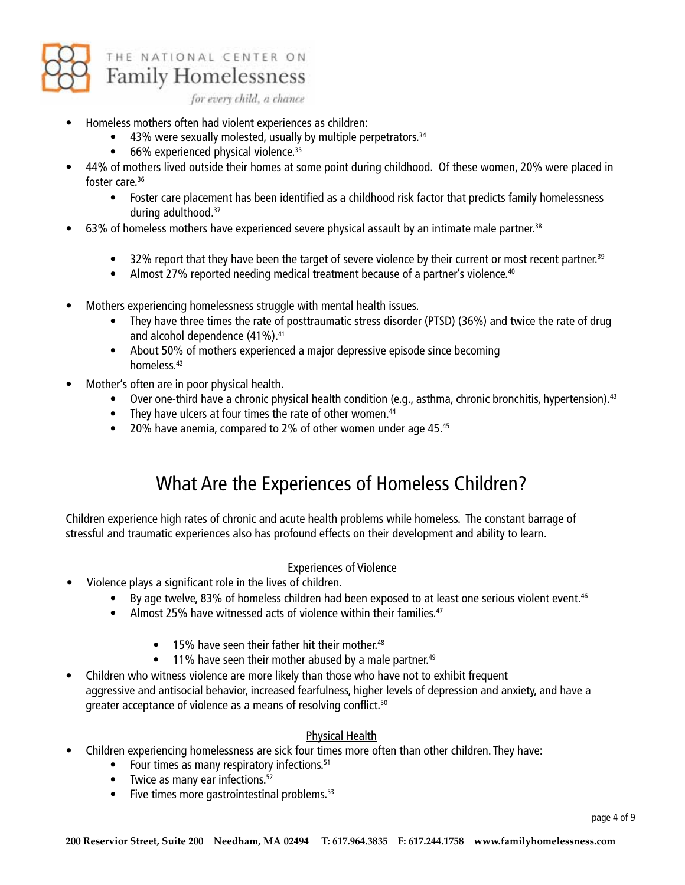

for every child, a chance

- Homeless mothers often had violent experiences as children:
	- $\bullet$  43% were sexually molested, usually by multiple perpetrators.<sup>34</sup>
	- $\bullet$  66% experienced physical violence.<sup>35</sup>
- 44% of mothers lived outside their homes at some point during childhood. Of these women, 20% were placed in foster care.<sup>36</sup>
	- Foster care placement has been identified as a childhood risk factor that predicts family homelessness during adulthood.37
- $\bullet$  63% of homeless mothers have experienced severe physical assault by an intimate male partner.<sup>38</sup>
	- $\bullet$  32% report that they have been the target of severe violence by their current or most recent partner.<sup>39</sup>
	- Almost 27% reported needing medical treatment because of a partner's violence.<sup>40</sup>
- Mothers experiencing homelessness struggle with mental health issues.
	- They have three times the rate of posttraumatic stress disorder (PTSD) (36%) and twice the rate of drug and alcohol dependence (41%).<sup>41</sup>
	- About 50% of mothers experienced a major depressive episode since becoming homeless.42
- Mother's often are in poor physical health.
	- Over one-third have a chronic physical health condition (e.g., asthma, chronic bronchitis, hypertension).<sup>43</sup>
	- They have ulcers at four times the rate of other women.<sup>44</sup>
	- 20% have anemia, compared to 2% of other women under age 45. $45$

## What Are the Experiences of Homeless Children?

Children experience high rates of chronic and acute health problems while homeless. The constant barrage of stressful and traumatic experiences also has profound effects on their development and ability to learn.

#### Experiences of Violence

- Violence plays a significant role in the lives of children.
	- By age twelve, 83% of homeless children had been exposed to at least one serious violent event.<sup>46</sup>
	- Almost 25% have witnessed acts of violence within their families. $47$ 
		- $\bullet$  15% have seen their father hit their mother.<sup>48</sup>
		- $\bullet$  11% have seen their mother abused by a male partner.<sup>49</sup>
- Children who witness violence are more likely than those who have not to exhibit frequent aggressive and antisocial behavior, increased fearfulness, higher levels of depression and anxiety, and have a greater acceptance of violence as a means of resolving conflict.<sup>50</sup>

#### Physical Health

- Children experiencing homelessness are sick four times more often than other children. They have:
	- Four times as many respiratory infections.<sup>51</sup>
	- $\bullet$  Twice as many ear infections.<sup>52</sup>
	- $\bullet$  Five times more gastrointestinal problems.<sup>53</sup>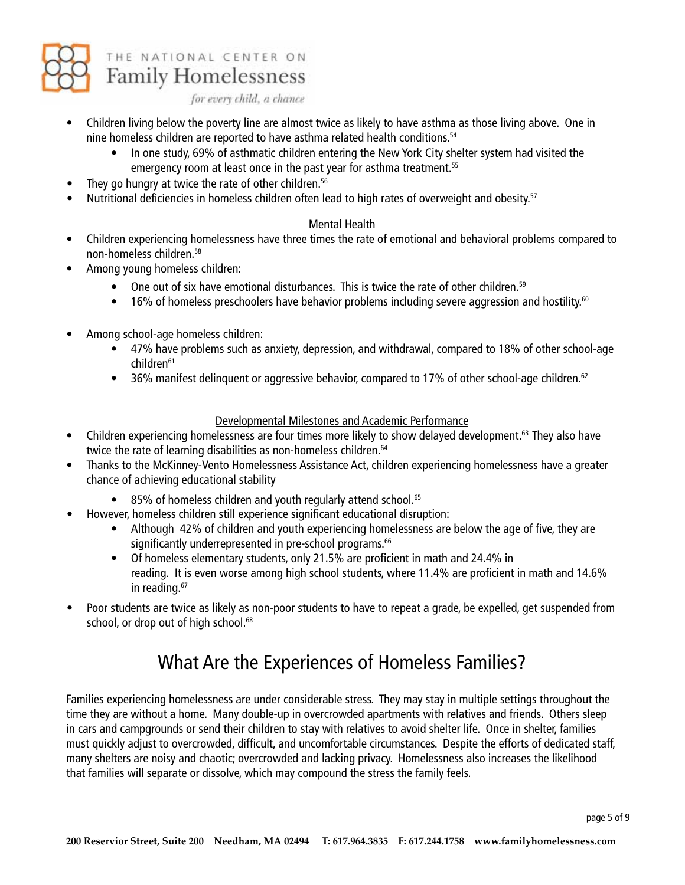

for every child, a chance

- Children living below the poverty line are almost twice as likely to have asthma as those living above. One in nine homeless children are reported to have asthma related health conditions.<sup>54</sup>
	- In one study, 69% of asthmatic children entering the New York City shelter system had visited the emergency room at least once in the past year for asthma treatment.<sup>55</sup>
- They go hungry at twice the rate of other children.<sup>56</sup>
- Nutritional deficiencies in homeless children often lead to high rates of overweight and obesity.<sup>57</sup>

#### Mental Health

- Children experiencing homelessness have three times the rate of emotional and behavioral problems compared to non-homeless children.58
- Among young homeless children:
	- One out of six have emotional disturbances. This is twice the rate of other children.<sup>59</sup>
	- 16% of homeless preschoolers have behavior problems including severe aggression and hostility.<sup>60</sup>
- Among school-age homeless children:
	- • 47% have problems such as anxiety, depression, and withdrawal, compared to 18% of other school-age children<sup>61</sup>
	- 36% manifest delinquent or aggressive behavior, compared to 17% of other school-age children.<sup>62</sup>

#### Developmental Milestones and Academic Performance

- Children experiencing homelessness are four times more likely to show delayed development.<sup>63</sup> They also have twice the rate of learning disabilities as non-homeless children.<sup>64</sup>
- Thanks to the McKinney-Vento Homelessness Assistance Act, children experiencing homelessness have a greater chance of achieving educational stability
	- 85% of homeless children and youth regularly attend school.<sup>65</sup>
- However, homeless children still experience significant educational disruption:
	- Although 42% of children and youth experiencing homelessness are below the age of five, they are significantly underrepresented in pre-school programs.<sup>66</sup>
	- Of homeless elementary students, only 21.5% are proficient in math and 24.4% in reading. It is even worse among high school students, where 11.4% are proficient in math and 14.6% in reading.<sup>67</sup>
- Poor students are twice as likely as non-poor students to have to repeat a grade, be expelled, get suspended from school, or drop out of high school.<sup>68</sup>

## What Are the Experiences of Homeless Families?

Families experiencing homelessness are under considerable stress. They may stay in multiple settings throughout the time they are without a home. Many double-up in overcrowded apartments with relatives and friends. Others sleep in cars and campgrounds or send their children to stay with relatives to avoid shelter life. Once in shelter, families must quickly adjust to overcrowded, difficult, and uncomfortable circumstances. Despite the efforts of dedicated staff, many shelters are noisy and chaotic; overcrowded and lacking privacy. Homelessness also increases the likelihood that families will separate or dissolve, which may compound the stress the family feels.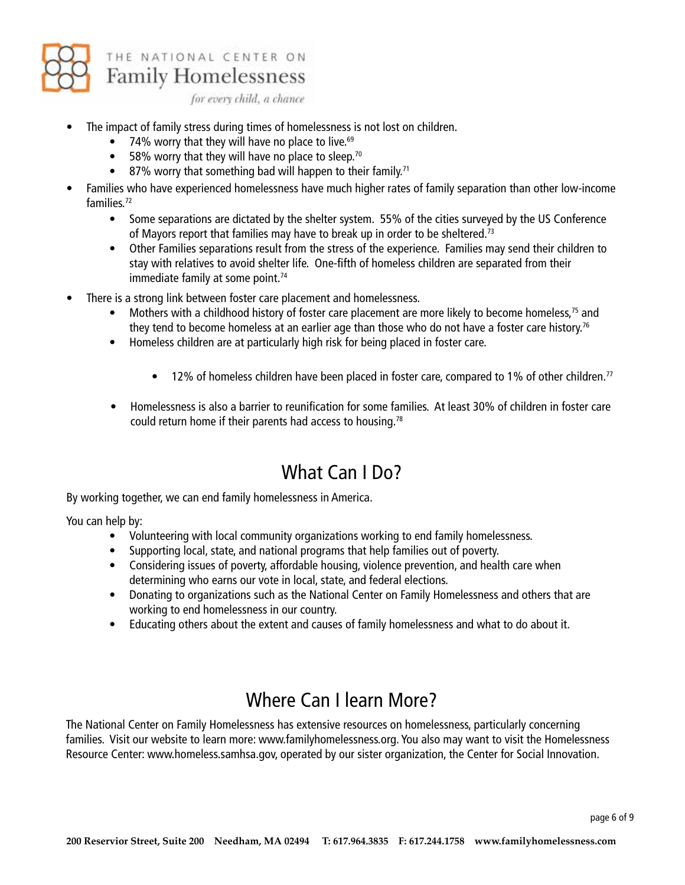

## **Family Homelessness**

for every child, a chance

- The impact of family stress during times of homelessness is not lost on children.
	- 74% worry that they will have no place to live. $69$
	- 58% worry that they will have no place to sleep.<sup>70</sup>
	- $\bullet$  87% worry that something bad will happen to their family.<sup>71</sup>
- Families who have experienced homelessness have much higher rates of family separation than other low-income families.72
	- Some separations are dictated by the shelter system. 55% of the cities surveyed by the US Conference of Mayors report that families may have to break up in order to be sheltered.<sup>73</sup>
	- Other Families separations result from the stress of the experience. Families may send their children to stay with relatives to avoid shelter life. One-fifth of homeless children are separated from their immediate family at some point.<sup>74</sup>
- There is a strong link between foster care placement and homelessness.
	- Mothers with a childhood history of foster care placement are more likely to become homeless,<sup>75</sup> and they tend to become homeless at an earlier age than those who do not have a foster care history.<sup>76</sup>
	- Homeless children are at particularly high risk for being placed in foster care.
		- 12% of homeless children have been placed in foster care, compared to 1% of other children.<sup>77</sup>
	- Homelessness is also a barrier to reunification for some families. At least 30% of children in foster care could return home if their parents had access to housing.78

## What Can I Do?

By working together, we can end family homelessness in America.

You can help by:

- • Volunteering with local community organizations working to end family homelessness.
- Supporting local, state, and national programs that help families out of poverty.
- Considering issues of poverty, affordable housing, violence prevention, and health care when determining who earns our vote in local, state, and federal elections.
- Donating to organizations such as the National Center on Family Homelessness and others that are working to end homelessness in our country.
- Educating others about the extent and causes of family homelessness and what to do about it.

## Where Can I learn More?

The National Center on Family Homelessness has extensive resources on homelessness, particularly concerning families. Visit our website to learn more: www.familyhomelessness.org. You also may want to visit the Homelessness Resource Center: www.homeless.samhsa.gov, operated by our sister organization, the Center for Social Innovation.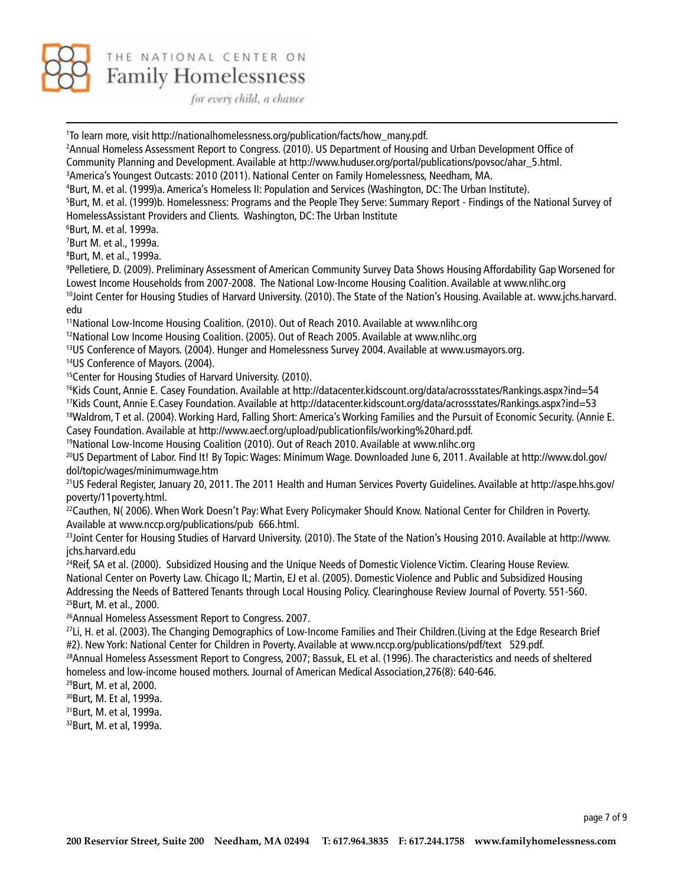

for every child, a chance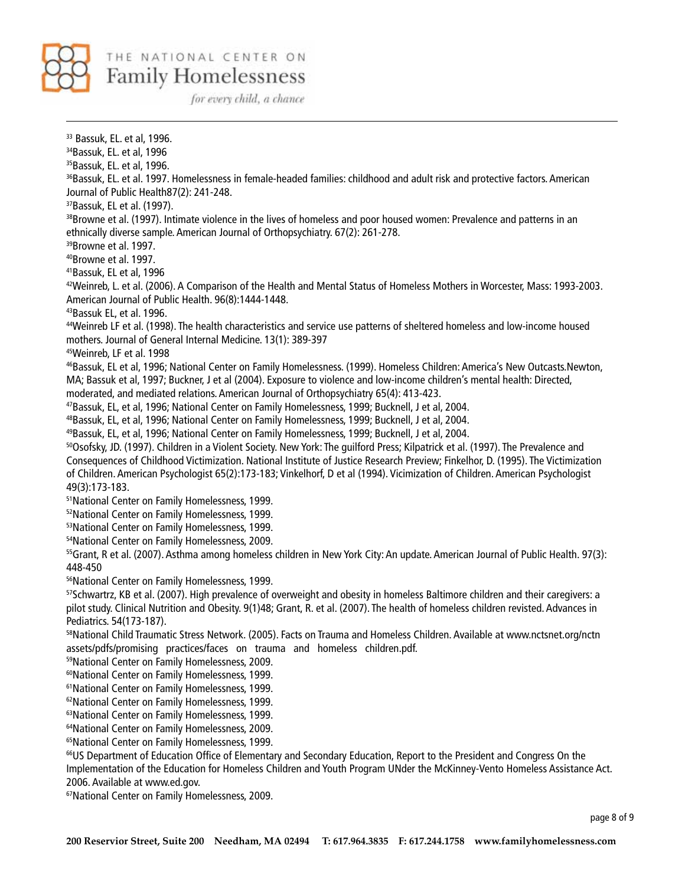

for every child, a chance

33 Bassuk, EL. et al, 1996. 34Bassuk, EL. et al, 1996 <sup>35</sup>Bassuk, EL. et al, 1996. <sup>36</sup>Bassuk, EL. et al. 1997. Homelessness in female-headed families: childhood and adult risk and protective factors. American Journal of Public Health87(2): 241-248. 37Bassuk, EL et al. (1997). <sup>38</sup>Browne et al. (1997). Intimate violence in the lives of homeless and poor housed women: Prevalence and patterns in an ethnically diverse sample. American Journal of Orthopsychiatry. 67(2): 261-278. 39Browne et al. 1997. 40Browne et al. 1997. 41Bassuk, EL et al, 1996 42Weinreb, L. et al. (2006). A Comparison of the Health and Mental Status of Homeless Mothers in Worcester, Mass: 1993-2003. American Journal of Public Health. 96(8):1444-1448. 43Bassuk EL, et al. 1996. 44Weinreb LF et al. (1998). The health characteristics and service use patterns of sheltered homeless and low-income housed mothers. Journal of General Internal Medicine. 13(1): 389-397 45Weinreb, LF et al. 1998 46Bassuk, EL et al, 1996; National Center on Family Homelessness. (1999). Homeless Children: America's New Outcasts.Newton, MA; Bassuk et al, 1997; Buckner, J et al (2004). Exposure to violence and low-income children's mental health: Directed, moderated, and mediated relations. American Journal of Orthopsychiatry 65(4): 413-423. 47Bassuk, EL, et al, 1996; National Center on Family Homelessness, 1999; Bucknell, J et al, 2004. 48Bassuk, EL, et al, 1996; National Center on Family Homelessness, 1999; Bucknell, J et al, 2004. 49Bassuk, EL, et al, 1996; National Center on Family Homelessness, 1999; Bucknell, J et al, 2004. 50Osofsky, JD. (1997). Children in a Violent Society. New York: The guilford Press; Kilpatrick et al. (1997). The Prevalence and Consequences of Childhood Victimization. National Institute of Justice Research Preview; Finkelhor, D. (1995). The Victimization of Children. American Psychologist 65(2):173-183; Vinkelhorf, D et al (1994). Vicimization of Children. American Psychologist 49(3):173-183. 51National Center on Family Homelessness, 1999. 52National Center on Family Homelessness, 1999. 53National Center on Family Homelessness, 1999. 54National Center on Family Homelessness, 2009. <sup>55</sup>Grant, R et al. (2007). Asthma among homeless children in New York City: An update. American Journal of Public Health. 97(3): 448-450 56National Center on Family Homelessness, 1999. 57Schwartrz, KB et al. (2007). High prevalence of overweight and obesity in homeless Baltimore children and their caregivers: a pilot study. Clinical Nutrition and Obesity. 9(1)48; Grant, R. et al. (2007). The health of homeless children revisted. Advances in Pediatrics. 54(173-187). 58National Child Traumatic Stress Network. (2005). Facts on Trauma and Homeless Children. Available at www.nctsnet.org/nctn assets/pdfs/promising practices/faces on trauma and homeless children.pdf. 59National Center on Family Homelessness, 2009. 60National Center on Family Homelessness, 1999. 61National Center on Family Homelessness, 1999. 62National Center on Family Homelessness, 1999. 63National Center on Family Homelessness, 1999. 64National Center on Family Homelessness, 2009. 65National Center on Family Homelessness, 1999. <sup>66</sup>US Department of Education Office of Elementary and Secondary Education, Report to the President and Congress On the Implementation of the Education for Homeless Children and Youth Program UNder the McKinney-Vento Homeless Assistance Act. 2006. Available at www.ed.gov. 67National Center on Family Homelessness, 2009.